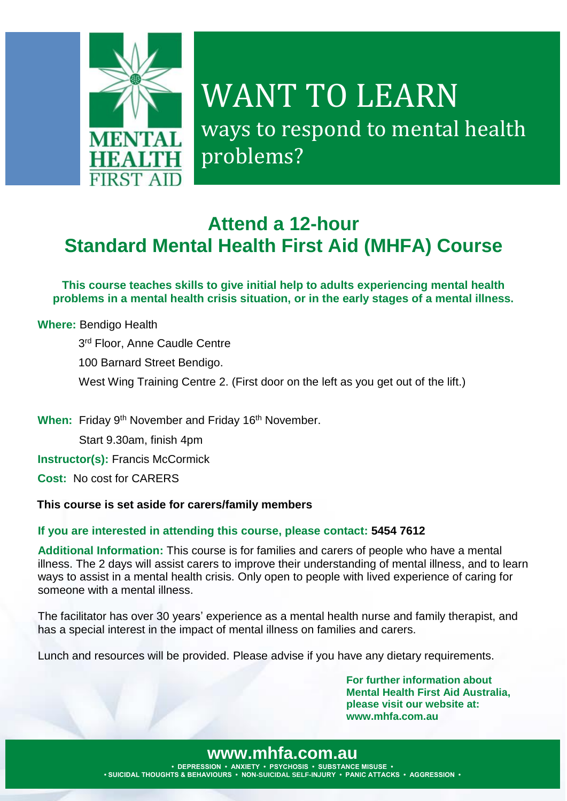

# WANT TO LEARN ways to respond to mental health problems?

### **Attend a 12-hour Standard Mental Health First Aid (MHFA) Course**

**This course teaches skills to give initial help to adults experiencing mental health problems in a mental health crisis situation, or in the early stages of a mental illness.**

**Where:** Bendigo Health 3<sup>rd</sup> Floor, Anne Caudle Centre 100 Barnard Street Bendigo. West Wing Training Centre 2. (First door on the left as you get out of the lift.)

When: Friday 9<sup>th</sup> November and Friday 16<sup>th</sup> November.

Start 9.30am, finish 4pm

**Instructor(s): Francis McCormick** 

**Cost:** No cost for CARERS

#### **This course is set aside for carers/family members**

#### **If you are interested in attending this course, please contact: 5454 7612**

**Additional Information:** This course is for families and carers of people who have a mental illness. The 2 days will assist carers to improve their understanding of mental illness, and to learn ways to assist in a mental health crisis. Only open to people with lived experience of caring for someone with a mental illness.

The facilitator has over 30 years' experience as a mental health nurse and family therapist, and has a special interest in the impact of mental illness on families and carers.

Lunch and resources will be provided. Please advise if you have any dietary requirements.

**For further information about Mental Health First Aid Australia, please visit our website at: www.mhfa.com.au**